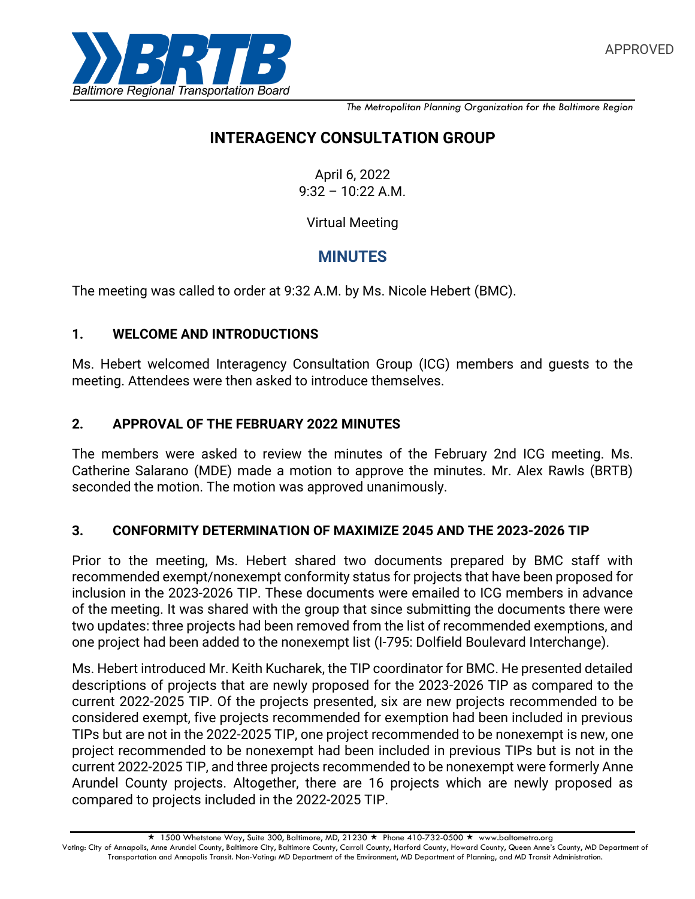

*The Metropolitan Planning Organization for the Baltimore Region*

# **INTERAGENCY CONSULTATION GROUP**

April 6, 2022  $9:32 - 10:22$  A.M.

Virtual Meeting

## **MINUTES**

The meeting was called to order at 9:32 A.M. by Ms. Nicole Hebert (BMC).

#### **1. WELCOME AND INTRODUCTIONS**

Ms. Hebert welcomed Interagency Consultation Group (ICG) members and guests to the meeting. Attendees were then asked to introduce themselves.

#### **2. APPROVAL OF THE FEBRUARY 2022 MINUTES**

The members were asked to review the minutes of the February 2nd ICG meeting. Ms. Catherine Salarano (MDE) made a motion to approve the minutes. Mr. Alex Rawls (BRTB) seconded the motion. The motion was approved unanimously.

#### **3. CONFORMITY DETERMINATION OF MAXIMIZE 2045 AND THE 2023-2026 TIP**

Prior to the meeting, Ms. Hebert shared two documents prepared by BMC staff with recommended exempt/nonexempt conformity status for projects that have been proposed for inclusion in the 2023-2026 TIP. These documents were emailed to ICG members in advance of the meeting. It was shared with the group that since submitting the documents there were two updates: three projects had been removed from the list of recommended exemptions, and one project had been added to the nonexempt list (I-795: Dolfield Boulevard Interchange).

Ms. Hebert introduced Mr. Keith Kucharek, the TIP coordinator for BMC. He presented detailed descriptions of projects that are newly proposed for the 2023-2026 TIP as compared to the current 2022-2025 TIP. Of the projects presented, six are new projects recommended to be considered exempt, five projects recommended for exemption had been included in previous TIPs but are not in the 2022-2025 TIP, one project recommended to be nonexempt is new, one project recommended to be nonexempt had been included in previous TIPs but is not in the current 2022-2025 TIP, and three projects recommended to be nonexempt were formerly Anne Arundel County projects. Altogether, there are 16 projects which are newly proposed as compared to projects included in the 2022-2025 TIP.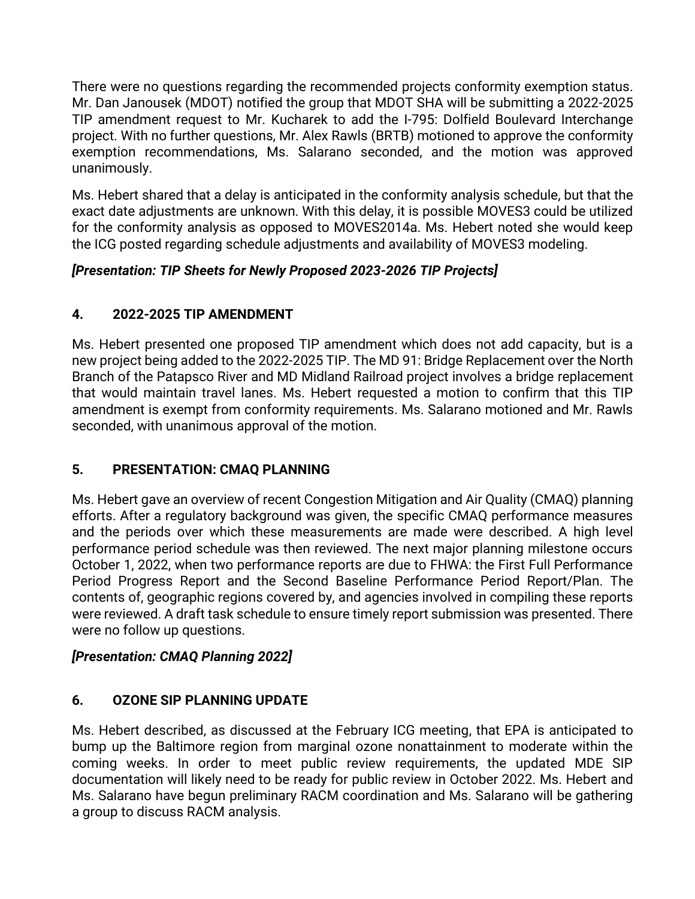There were no questions regarding the recommended projects conformity exemption status. Mr. Dan Janousek (MDOT) notified the group that MDOT SHA will be submitting a 2022-2025 TIP amendment request to Mr. Kucharek to add the I-795: Dolfield Boulevard Interchange project. With no further questions, Mr. Alex Rawls (BRTB) motioned to approve the conformity exemption recommendations, Ms. Salarano seconded, and the motion was approved unanimously.

Ms. Hebert shared that a delay is anticipated in the conformity analysis schedule, but that the exact date adjustments are unknown. With this delay, it is possible MOVES3 could be utilized for the conformity analysis as opposed to MOVES2014a. Ms. Hebert noted she would keep the ICG posted regarding schedule adjustments and availability of MOVES3 modeling.

### *[Presentation: TIP Sheets for Newly Proposed 2023-2026 TIP Projects]*

### **4. 2022-2025 TIP AMENDMENT**

Ms. Hebert presented one proposed TIP amendment which does not add capacity, but is a new project being added to the 2022-2025 TIP. The MD 91: Bridge Replacement over the North Branch of the Patapsco River and MD Midland Railroad project involves a bridge replacement that would maintain travel lanes. Ms. Hebert requested a motion to confirm that this TIP amendment is exempt from conformity requirements. Ms. Salarano motioned and Mr. Rawls seconded, with unanimous approval of the motion.

### **5. PRESENTATION: CMAQ PLANNING**

Ms. Hebert gave an overview of recent Congestion Mitigation and Air Quality (CMAQ) planning efforts. After a regulatory background was given, the specific CMAQ performance measures and the periods over which these measurements are made were described. A high level performance period schedule was then reviewed. The next major planning milestone occurs October 1, 2022, when two performance reports are due to FHWA: the First Full Performance Period Progress Report and the Second Baseline Performance Period Report/Plan. The contents of, geographic regions covered by, and agencies involved in compiling these reports were reviewed. A draft task schedule to ensure timely report submission was presented. There were no follow up questions.

### *[Presentation: CMAQ Planning 2022]*

### **6. OZONE SIP PLANNING UPDATE**

Ms. Hebert described, as discussed at the February ICG meeting, that EPA is anticipated to bump up the Baltimore region from marginal ozone nonattainment to moderate within the coming weeks. In order to meet public review requirements, the updated MDE SIP documentation will likely need to be ready for public review in October 2022. Ms. Hebert and Ms. Salarano have begun preliminary RACM coordination and Ms. Salarano will be gathering a group to discuss RACM analysis.